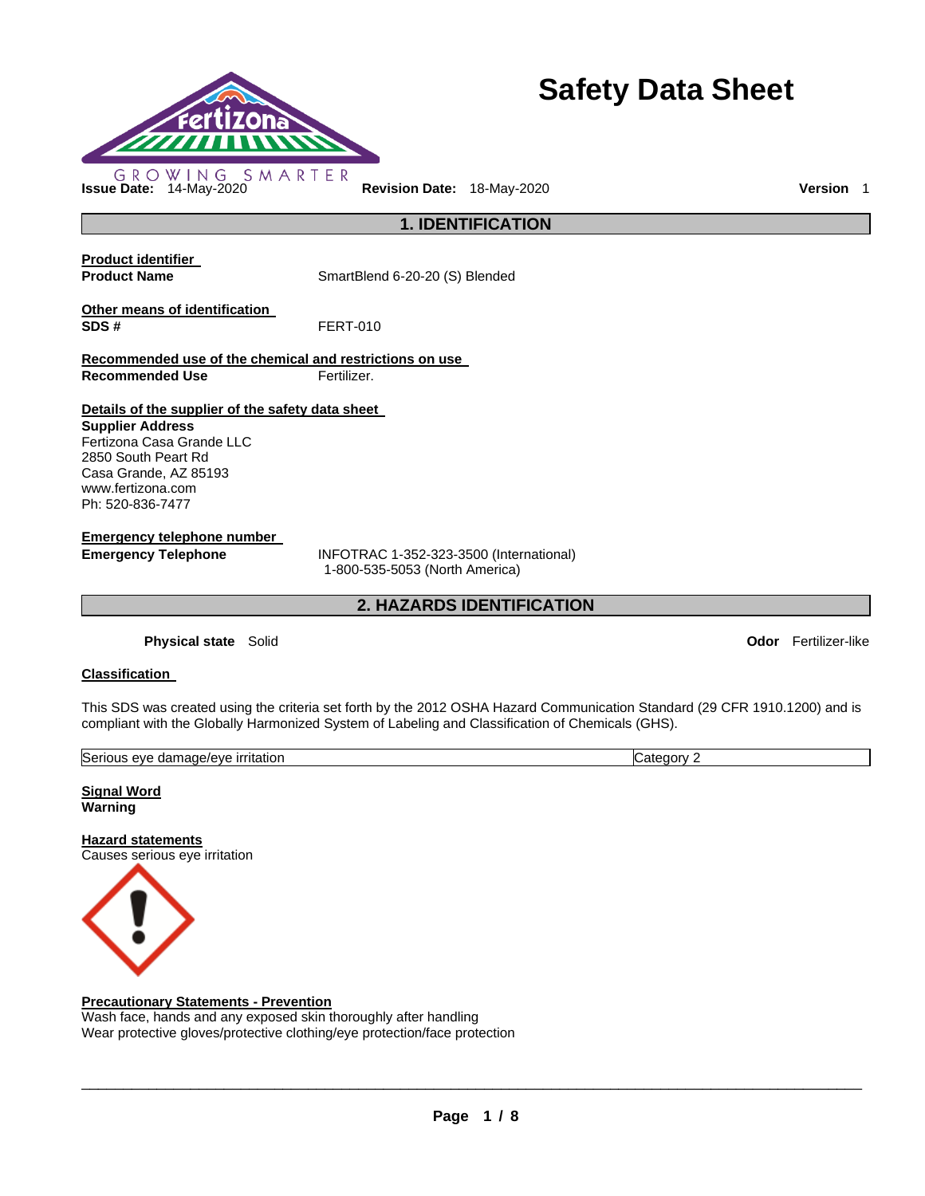

# **Safety Data Sheet**

**Issue Date:** 14-May-2020 **Revision Date:** 18-May-2020 **Version** 1

**Product identifier** 

**Product Name SmartBlend 6-20-20 (S) Blended** 

**1. IDENTIFICATION** 

**Other means of identification SDS #** FERT-010

**Recommended use of the chemical and restrictions on use Recommended Use Fertilizer.** 

#### **Details of the supplier of the safety data sheet**

**Supplier Address** Fertizona Casa Grande LLC 2850 South Peart Rd Casa Grande, AZ 85193 www.fertizona.com Ph: 520-836-7477

**Emergency telephone number** 

**Emergency Telephone** INFOTRAC 1-352-323-3500 (International) 1-800-535-5053 (North America)

**2. HAZARDS IDENTIFICATION** 

**Physical state** Solid **Odor** Fertilizer-like

#### **Classification**

This SDS was created using the criteria set forth by the 2012 OSHA Hazard Communication Standard (29 CFR 1910.1200) and is compliant with the Globally Harmonized System of Labeling and Classification of Chemicals (GHS).

| Serious<br><u>ırrıtatıon</u><br>nade/et<br>/eve<br>dam<br>eve<br>$\cdots$<br>. | <br>eaor∿<br>.ate |
|--------------------------------------------------------------------------------|-------------------|
|                                                                                |                   |

**Signal Word Warning** 

**Hazard statements** Causes serious eye irritation



#### **Precautionary Statements - Prevention**

Wash face, hands and any exposed skin thoroughly after handling Wear protective gloves/protective clothing/eye protection/face protection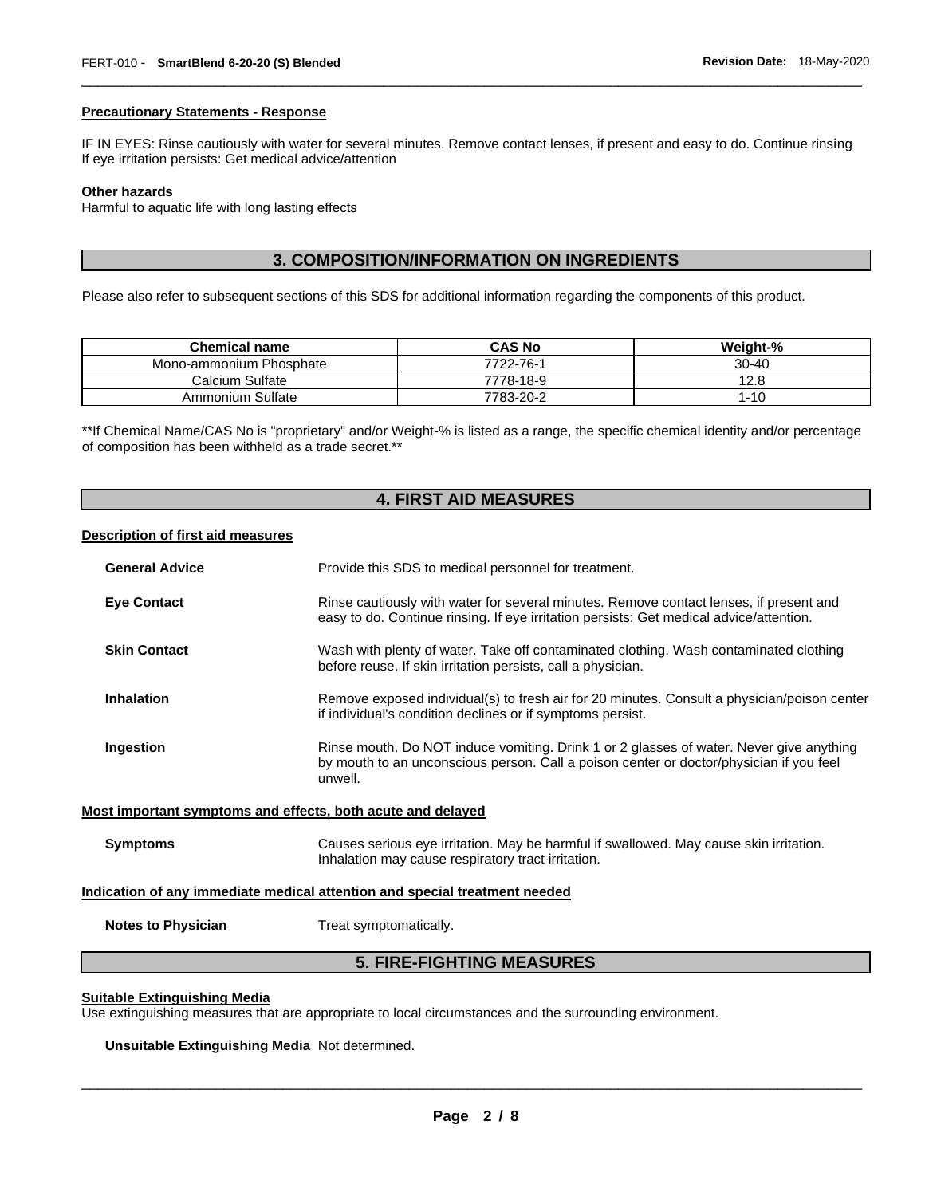#### **Precautionary Statements - Response**

IF IN EYES: Rinse cautiously with water for several minutes. Remove contact lenses, if present and easy to do. Continue rinsing If eye irritation persists: Get medical advice/attention

\_\_\_\_\_\_\_\_\_\_\_\_\_\_\_\_\_\_\_\_\_\_\_\_\_\_\_\_\_\_\_\_\_\_\_\_\_\_\_\_\_\_\_\_\_\_\_\_\_\_\_\_\_\_\_\_\_\_\_\_\_\_\_\_\_\_\_\_\_\_\_\_\_\_\_\_\_\_\_\_\_\_\_\_\_\_\_\_\_\_\_\_\_

#### **Other hazards**

Harmful to aquatic life with long lasting effects

# **3. COMPOSITION/INFORMATION ON INGREDIENTS**

Please also refer to subsequent sections of this SDS for additional information regarding the components of this product.

| <b>Chemical name</b>    | <b>CAS No</b> | Weight-%  |
|-------------------------|---------------|-----------|
| Mono-ammonium Phosphate | 7722-76-1     | $30 - 40$ |
| Calcium Sulfate         | 7778-18-9     | 12.8      |
| Ammonium Sulfate        | 7783-20-2     | l-10      |

\*\*If Chemical Name/CAS No is "proprietary" and/or Weight-% is listed as a range, the specific chemical identity and/or percentage of composition has been withheld as a trade secret.\*\*

### **4. FIRST AID MEASURES**

#### **Description of first aid measures**

| <b>General Advice</b>                                                      | Provide this SDS to medical personnel for treatment.                                                                                                                                          |
|----------------------------------------------------------------------------|-----------------------------------------------------------------------------------------------------------------------------------------------------------------------------------------------|
| <b>Eye Contact</b>                                                         | Rinse cautiously with water for several minutes. Remove contact lenses, if present and<br>easy to do. Continue rinsing. If eye irritation persists: Get medical advice/attention.             |
| <b>Skin Contact</b>                                                        | Wash with plenty of water. Take off contaminated clothing. Wash contaminated clothing<br>before reuse. If skin irritation persists, call a physician.                                         |
| <b>Inhalation</b>                                                          | Remove exposed individual(s) to fresh air for 20 minutes. Consult a physician/poison center<br>if individual's condition declines or if symptoms persist.                                     |
| Ingestion                                                                  | Rinse mouth. Do NOT induce vomiting. Drink 1 or 2 glasses of water. Never give anything<br>by mouth to an unconscious person. Call a poison center or doctor/physician if you feel<br>unwell. |
| Most important symptoms and effects, both acute and delayed                |                                                                                                                                                                                               |
| <b>Symptoms</b>                                                            | Causes serious eye irritation. May be harmful if swallowed. May cause skin irritation.<br>Inhalation may cause respiratory tract irritation.                                                  |
| Indication of any immediate medical attention and special treatment needed |                                                                                                                                                                                               |
| <b>Notes to Physician</b>                                                  | Treat symptomatically.                                                                                                                                                                        |
|                                                                            | - ---- --------- ---- -----                                                                                                                                                                   |

#### **5. FIRE-FIGHTING MEASURES**

#### **Suitable Extinguishing Media**

Use extinguishing measures that are appropriate to local circumstances and the surrounding environment.

**Unsuitable Extinguishing Media** Not determined.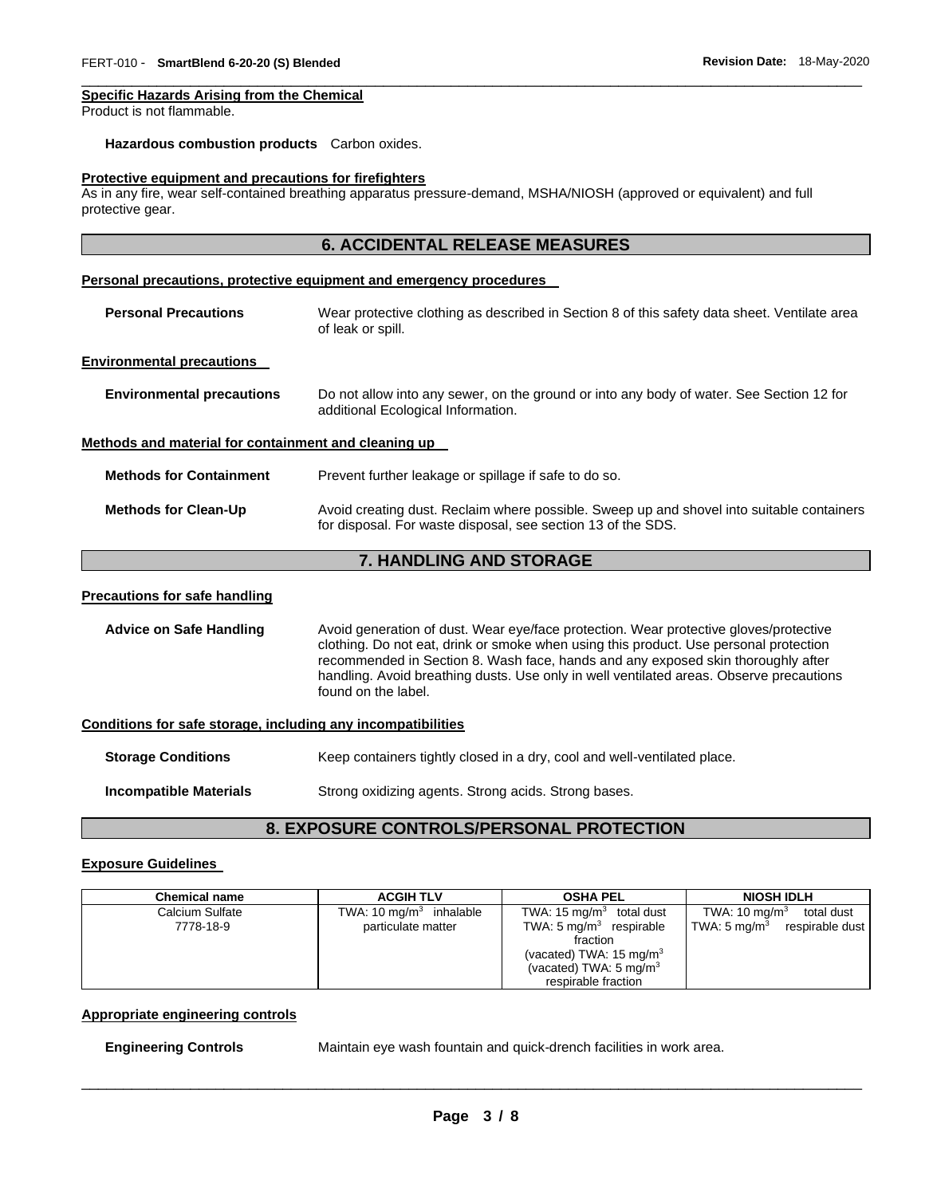#### **Specific Hazards Arising from the Chemical**

Product is not flammable.

#### **Hazardous combustion products** Carbon oxides.

#### **Protective equipment and precautions for firefighters**

As in any fire, wear self-contained breathing apparatus pressure-demand, MSHA/NIOSH (approved or equivalent) and full protective gear.

\_\_\_\_\_\_\_\_\_\_\_\_\_\_\_\_\_\_\_\_\_\_\_\_\_\_\_\_\_\_\_\_\_\_\_\_\_\_\_\_\_\_\_\_\_\_\_\_\_\_\_\_\_\_\_\_\_\_\_\_\_\_\_\_\_\_\_\_\_\_\_\_\_\_\_\_\_\_\_\_\_\_\_\_\_\_\_\_\_\_\_\_\_

|                                                              | <b>6. ACCIDENTAL RELEASE MEASURES</b>                                                                                                                                                                                                                                                                                                                                                |
|--------------------------------------------------------------|--------------------------------------------------------------------------------------------------------------------------------------------------------------------------------------------------------------------------------------------------------------------------------------------------------------------------------------------------------------------------------------|
|                                                              | Personal precautions, protective equipment and emergency procedures                                                                                                                                                                                                                                                                                                                  |
| <b>Personal Precautions</b>                                  | Wear protective clothing as described in Section 8 of this safety data sheet. Ventilate area<br>of leak or spill.                                                                                                                                                                                                                                                                    |
| <b>Environmental precautions</b>                             |                                                                                                                                                                                                                                                                                                                                                                                      |
| <b>Environmental precautions</b>                             | Do not allow into any sewer, on the ground or into any body of water. See Section 12 for<br>additional Ecological Information.                                                                                                                                                                                                                                                       |
| Methods and material for containment and cleaning up         |                                                                                                                                                                                                                                                                                                                                                                                      |
| <b>Methods for Containment</b>                               | Prevent further leakage or spillage if safe to do so.                                                                                                                                                                                                                                                                                                                                |
| <b>Methods for Clean-Up</b>                                  | Avoid creating dust. Reclaim where possible. Sweep up and shovel into suitable containers<br>for disposal. For waste disposal, see section 13 of the SDS.                                                                                                                                                                                                                            |
|                                                              | 7. HANDLING AND STORAGE                                                                                                                                                                                                                                                                                                                                                              |
| <b>Precautions for safe handling</b>                         |                                                                                                                                                                                                                                                                                                                                                                                      |
| <b>Advice on Safe Handling</b>                               | Avoid generation of dust. Wear eye/face protection. Wear protective gloves/protective<br>clothing. Do not eat, drink or smoke when using this product. Use personal protection<br>recommended in Section 8. Wash face, hands and any exposed skin thoroughly after<br>handling. Avoid breathing dusts. Use only in well ventilated areas. Observe precautions<br>found on the label. |
| Conditions for safe storage, including any incompatibilities |                                                                                                                                                                                                                                                                                                                                                                                      |
| <b>Storage Conditions</b>                                    | Keep containers tightly closed in a dry, cool and well-ventilated place.                                                                                                                                                                                                                                                                                                             |
| <b>Incompatible Materials</b>                                | Strong oxidizing agents. Strong acids. Strong bases.                                                                                                                                                                                                                                                                                                                                 |

# **8. EXPOSURE CONTROLS/PERSONAL PROTECTION**

#### **Exposure Guidelines**

| <b>Chemical name</b> | <b>ACGIH TLV</b>          | <b>OSHA PEL</b>                                | <b>NIOSH IDLH</b>                   |
|----------------------|---------------------------|------------------------------------------------|-------------------------------------|
| Calcium Sulfate      | TWA: 10 $mg/m3$ inhalable | TWA: $15 \text{ mg/m}^3$ total dust            | TWA: 10 mg/m $3$<br>total dust      |
| 7778-18-9            | particulate matter        | TWA: $5 \text{ mg/m}^3$ respirable<br>fraction | TWA: 5 mg/m $^3$<br>respirable dust |
|                      |                           | (vacated) TWA: $15 \text{ mg/m}^3$             |                                     |
|                      |                           | (vacated) TWA: $5 \text{ mg/m}^3$              |                                     |
|                      |                           | respirable fraction                            |                                     |

#### **Appropriate engineering controls**

**Engineering Controls** Maintain eye wash fountain and quick-drench facilities in work area.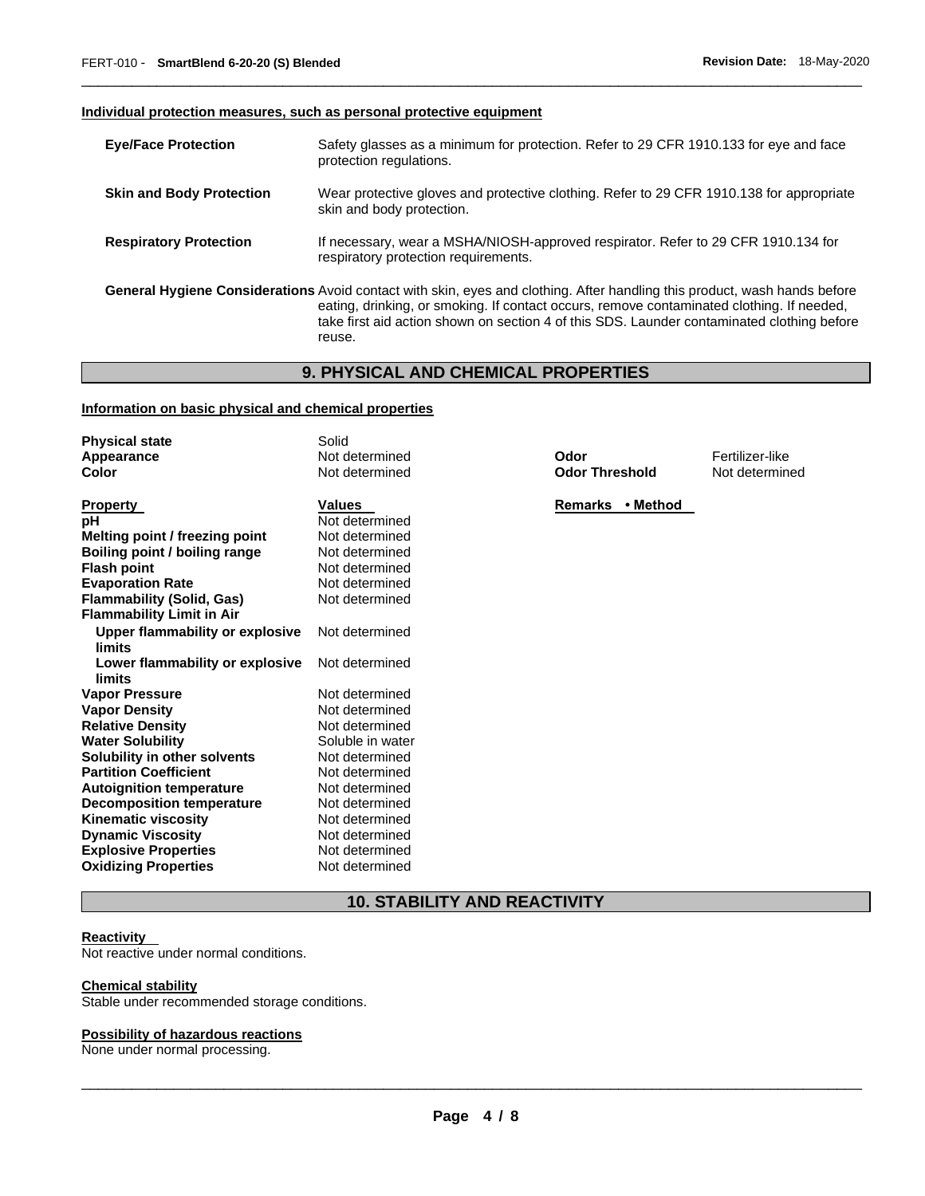#### **Individual protection measures, such as personal protective equipment**

| <b>Eye/Face Protection</b>      | Safety glasses as a minimum for protection. Refer to 29 CFR 1910.133 for eye and face<br>protection regulations.                                                                                                                                                                                                               |
|---------------------------------|--------------------------------------------------------------------------------------------------------------------------------------------------------------------------------------------------------------------------------------------------------------------------------------------------------------------------------|
| <b>Skin and Body Protection</b> | Wear protective gloves and protective clothing. Refer to 29 CFR 1910.138 for appropriate<br>skin and body protection.                                                                                                                                                                                                          |
| <b>Respiratory Protection</b>   | If necessary, wear a MSHA/NIOSH-approved respirator. Refer to 29 CFR 1910.134 for<br>respiratory protection requirements.                                                                                                                                                                                                      |
|                                 | General Hygiene Considerations Avoid contact with skin, eyes and clothing. After handling this product, wash hands before<br>eating, drinking, or smoking. If contact occurs, remove contaminated clothing. If needed,<br>take first aid action shown on section 4 of this SDS. Launder contaminated clothing before<br>reuse. |

\_\_\_\_\_\_\_\_\_\_\_\_\_\_\_\_\_\_\_\_\_\_\_\_\_\_\_\_\_\_\_\_\_\_\_\_\_\_\_\_\_\_\_\_\_\_\_\_\_\_\_\_\_\_\_\_\_\_\_\_\_\_\_\_\_\_\_\_\_\_\_\_\_\_\_\_\_\_\_\_\_\_\_\_\_\_\_\_\_\_\_\_\_

# **9. PHYSICAL AND CHEMICAL PROPERTIES**

#### **Information on basic physical and chemical properties**

| <b>Physical state</b>            | Solid            |                       |                 |
|----------------------------------|------------------|-----------------------|-----------------|
| Appearance                       | Not determined   | Odor                  | Fertilizer-like |
| Color                            | Not determined   | <b>Odor Threshold</b> | Not determined  |
| <b>Property</b>                  | Values           | Remarks • Method      |                 |
| рH                               | Not determined   |                       |                 |
| Melting point / freezing point   | Not determined   |                       |                 |
| Boiling point / boiling range    | Not determined   |                       |                 |
| <b>Flash point</b>               | Not determined   |                       |                 |
| <b>Evaporation Rate</b>          | Not determined   |                       |                 |
| <b>Flammability (Solid, Gas)</b> | Not determined   |                       |                 |
| <b>Flammability Limit in Air</b> |                  |                       |                 |
| Upper flammability or explosive  | Not determined   |                       |                 |
| limits                           |                  |                       |                 |
| Lower flammability or explosive  | Not determined   |                       |                 |
| limits                           |                  |                       |                 |
| <b>Vapor Pressure</b>            | Not determined   |                       |                 |
| <b>Vapor Density</b>             | Not determined   |                       |                 |
| <b>Relative Density</b>          | Not determined   |                       |                 |
| <b>Water Solubility</b>          | Soluble in water |                       |                 |
| Solubility in other solvents     | Not determined   |                       |                 |
| <b>Partition Coefficient</b>     | Not determined   |                       |                 |
| <b>Autoignition temperature</b>  | Not determined   |                       |                 |
| <b>Decomposition temperature</b> | Not determined   |                       |                 |
| <b>Kinematic viscosity</b>       | Not determined   |                       |                 |
| <b>Dynamic Viscosity</b>         | Not determined   |                       |                 |
| <b>Explosive Properties</b>      | Not determined   |                       |                 |
| <b>Oxidizing Properties</b>      | Not determined   |                       |                 |

# **10. STABILITY AND REACTIVITY**

#### **Reactivity**

Not reactive under normal conditions.

#### **Chemical stability**

Stable under recommended storage conditions.

#### **Possibility of hazardous reactions**

None under normal processing.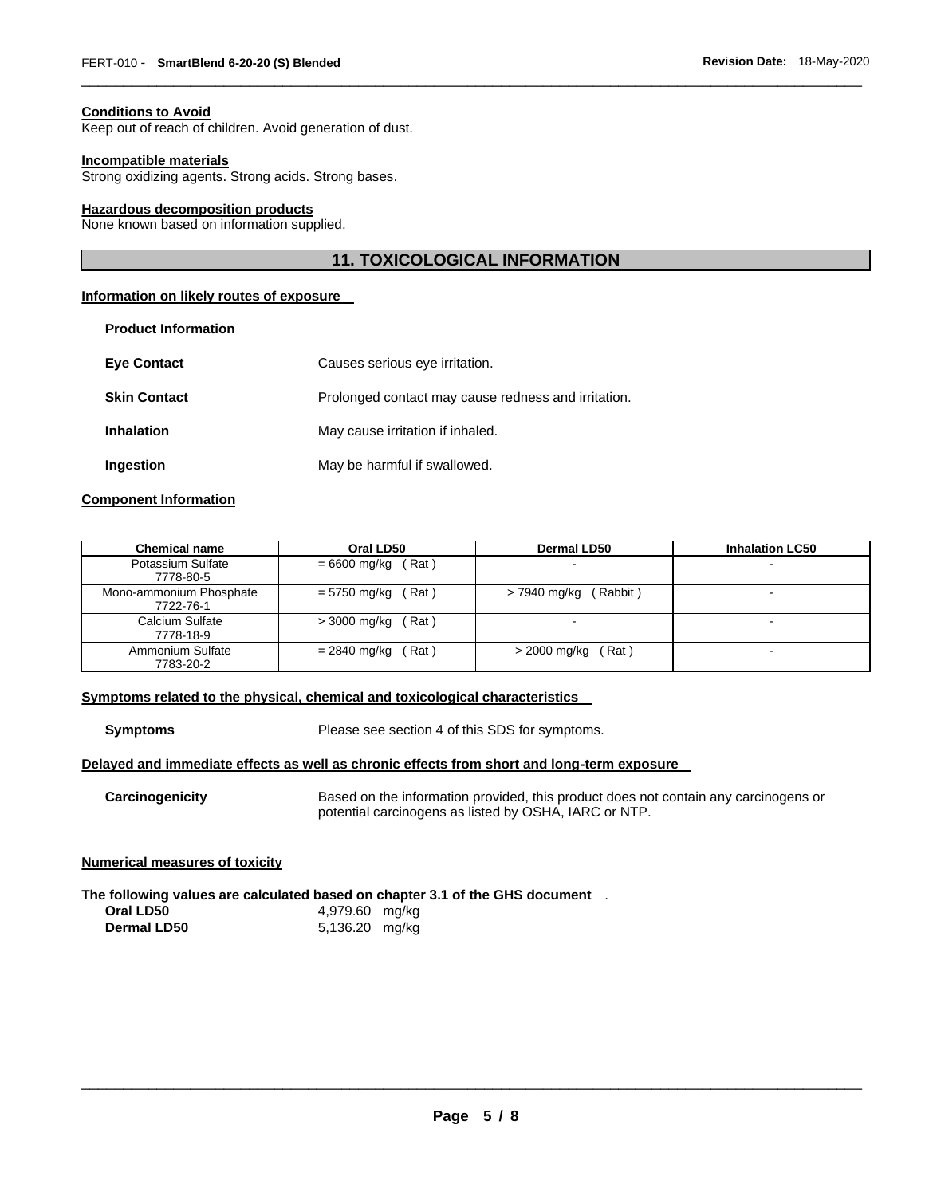#### **Conditions to Avoid**

Keep out of reach of children. Avoid generation of dust.

#### **Incompatible materials**

Strong oxidizing agents. Strong acids. Strong bases.

#### **Hazardous decomposition products**

None known based on information supplied.

### **11. TOXICOLOGICAL INFORMATION**

\_\_\_\_\_\_\_\_\_\_\_\_\_\_\_\_\_\_\_\_\_\_\_\_\_\_\_\_\_\_\_\_\_\_\_\_\_\_\_\_\_\_\_\_\_\_\_\_\_\_\_\_\_\_\_\_\_\_\_\_\_\_\_\_\_\_\_\_\_\_\_\_\_\_\_\_\_\_\_\_\_\_\_\_\_\_\_\_\_\_\_\_\_

#### **Information on likely routes of exposure**

| <b>Product Information</b> |                                                     |
|----------------------------|-----------------------------------------------------|
| <b>Eve Contact</b>         | Causes serious eye irritation.                      |
| <b>Skin Contact</b>        | Prolonged contact may cause redness and irritation. |
| <b>Inhalation</b>          | May cause irritation if inhaled.                    |
| Ingestion                  | May be harmful if swallowed.                        |

#### **Component Information**

| <b>Chemical name</b>                 | Oral LD50                 | Dermal LD50              | <b>Inhalation LC50</b> |
|--------------------------------------|---------------------------|--------------------------|------------------------|
| Potassium Sulfate<br>7778-80-5       | (Rat)<br>$= 6600$ mg/kg   | $\blacksquare$           |                        |
| Mono-ammonium Phosphate<br>7722-76-1 | $= 5750$ mg/kg (<br>(Rat) | (Rabbit)<br>> 7940 mg/kg |                        |
| Calcium Sulfate<br>7778-18-9         | $>$ 3000 mg/kg<br>(Rat)   |                          |                        |
| Ammonium Sulfate<br>7783-20-2        | (Rat)<br>= 2840 mg/kg     | (Rat)<br>> 2000 mg/kg    |                        |

#### **Symptoms related to the physical, chemical and toxicological characteristics**

**Symptoms** Please see section 4 of this SDS for symptoms.

#### **Delayed and immediate effects as well as chronic effects from short and long-term exposure**

**Carcinogenicity** Based on the information provided, this product does not contain any carcinogens or potential carcinogens as listed by OSHA, IARC or NTP.

#### **Numerical measures of toxicity**

**The following values are calculated based on chapter 3.1 of the GHS document** . **Oral LD50** 4,979.60 mg/kg **Dermal LD50** 5,136.20 mg/kg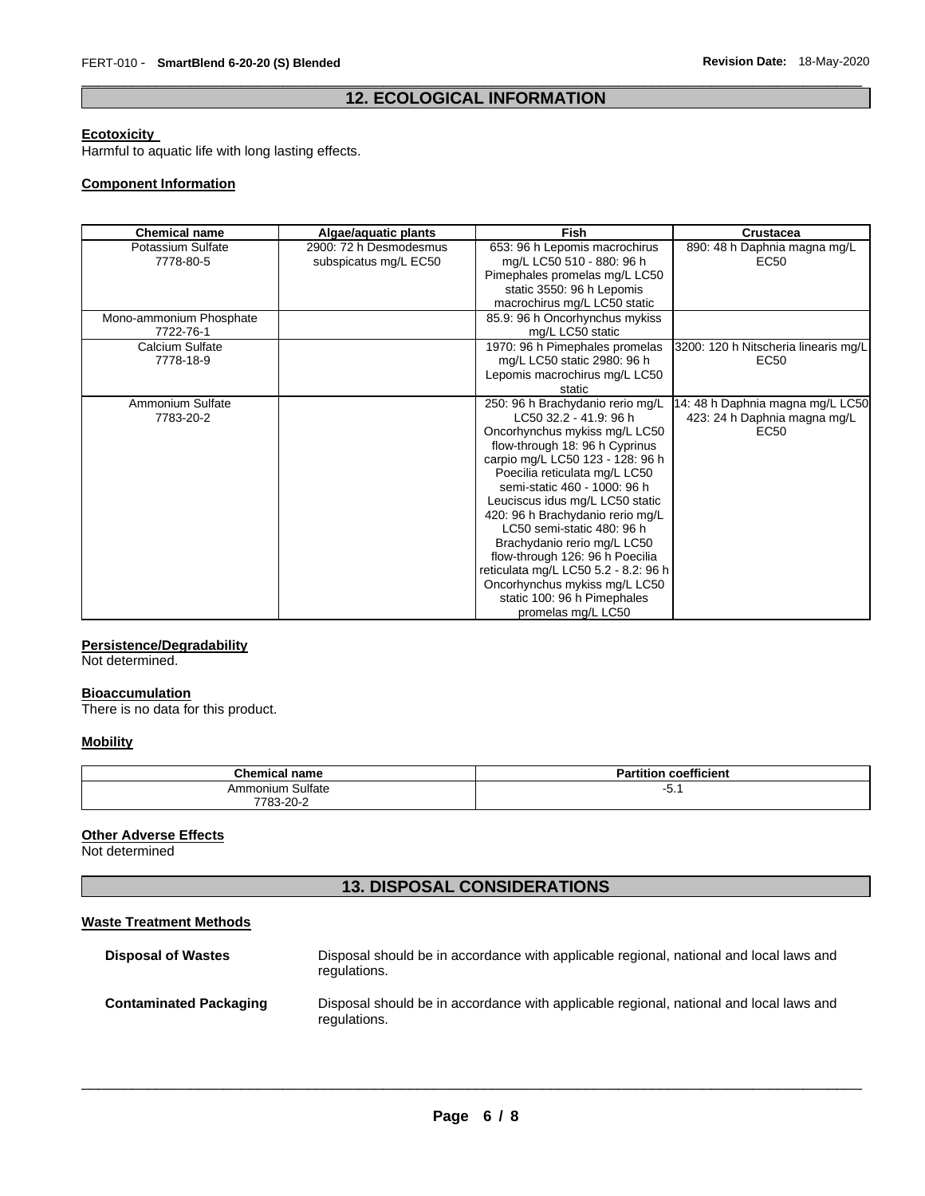### \_\_\_\_\_\_\_\_\_\_\_\_\_\_\_\_\_\_\_\_\_\_\_\_\_\_\_\_\_\_\_\_\_\_\_\_\_\_\_\_\_\_\_\_\_\_\_\_\_\_\_\_\_\_\_\_\_\_\_\_\_\_\_\_\_\_\_\_\_\_\_\_\_\_\_\_\_\_\_\_\_\_\_\_\_\_\_\_\_\_\_\_\_ **12. ECOLOGICAL INFORMATION**

#### **Ecotoxicity**

Harmful to aquatic life with long lasting effects.

#### **Component Information**

| <b>Chemical name</b>    | Algae/aquatic plants   | <b>Fish</b>                          | <b>Crustacea</b>                     |
|-------------------------|------------------------|--------------------------------------|--------------------------------------|
| Potassium Sulfate       | 2900: 72 h Desmodesmus | 653: 96 h Lepomis macrochirus        | 890: 48 h Daphnia magna mg/L         |
| 7778-80-5               | subspicatus mg/L EC50  | mg/L LC50 510 - 880: 96 h            | EC <sub>50</sub>                     |
|                         |                        | Pimephales promelas mg/L LC50        |                                      |
|                         |                        | static 3550: 96 h Lepomis            |                                      |
|                         |                        | macrochirus mg/L LC50 static         |                                      |
| Mono-ammonium Phosphate |                        | 85.9: 96 h Oncorhynchus mykiss       |                                      |
| 7722-76-1               |                        | mg/L LC50 static                     |                                      |
| Calcium Sulfate         |                        | 1970: 96 h Pimephales promelas       | 3200: 120 h Nitscheria linearis mg/L |
| 7778-18-9               |                        | mg/L LC50 static 2980: 96 h          | EC <sub>50</sub>                     |
|                         |                        | Lepomis macrochirus mg/L LC50        |                                      |
|                         |                        | static                               |                                      |
| Ammonium Sulfate        |                        | 250: 96 h Brachydanio rerio mg/L     | 14: 48 h Daphnia magna mg/L LC50     |
| 7783-20-2               |                        | LC50 32.2 - 41.9: 96 h               | 423: 24 h Daphnia magna mg/L         |
|                         |                        | Oncorhynchus mykiss mg/L LC50        | EC <sub>50</sub>                     |
|                         |                        | flow-through 18: 96 h Cyprinus       |                                      |
|                         |                        | carpio mg/L LC50 123 - 128: 96 h     |                                      |
|                         |                        | Poecilia reticulata mg/L LC50        |                                      |
|                         |                        | semi-static 460 - 1000: 96 h         |                                      |
|                         |                        | Leuciscus idus mg/L LC50 static      |                                      |
|                         |                        | 420: 96 h Brachydanio rerio mg/L     |                                      |
|                         |                        | LC50 semi-static 480: 96 h           |                                      |
|                         |                        | Brachydanio rerio mg/L LC50          |                                      |
|                         |                        | flow-through 126: 96 h Poecilia      |                                      |
|                         |                        | reticulata mg/L LC50 5.2 - 8.2: 96 h |                                      |
|                         |                        | Oncorhynchus mykiss mg/L LC50        |                                      |
|                         |                        | static 100: 96 h Pimephales          |                                      |
|                         |                        | promelas mg/L LC50                   |                                      |

#### **Persistence/Degradability**

Not determined.

#### **Bioaccumulation**

There is no data for this product.

#### **Mobility**

| <b>Chemical name</b> | coefficient<br>Partition |
|----------------------|--------------------------|
| Ammonium Sulfate     | --<br>ັບ                 |
| 7783-20-             |                          |

#### **Other Adverse Effects**

Not determined

# **13. DISPOSAL CONSIDERATIONS**

#### **Waste Treatment Methods**

| <b>Disposal of Wastes</b>     | Disposal should be in accordance with applicable regional, national and local laws and<br>regulations. |
|-------------------------------|--------------------------------------------------------------------------------------------------------|
| <b>Contaminated Packaging</b> | Disposal should be in accordance with applicable regional, national and local laws and<br>regulations. |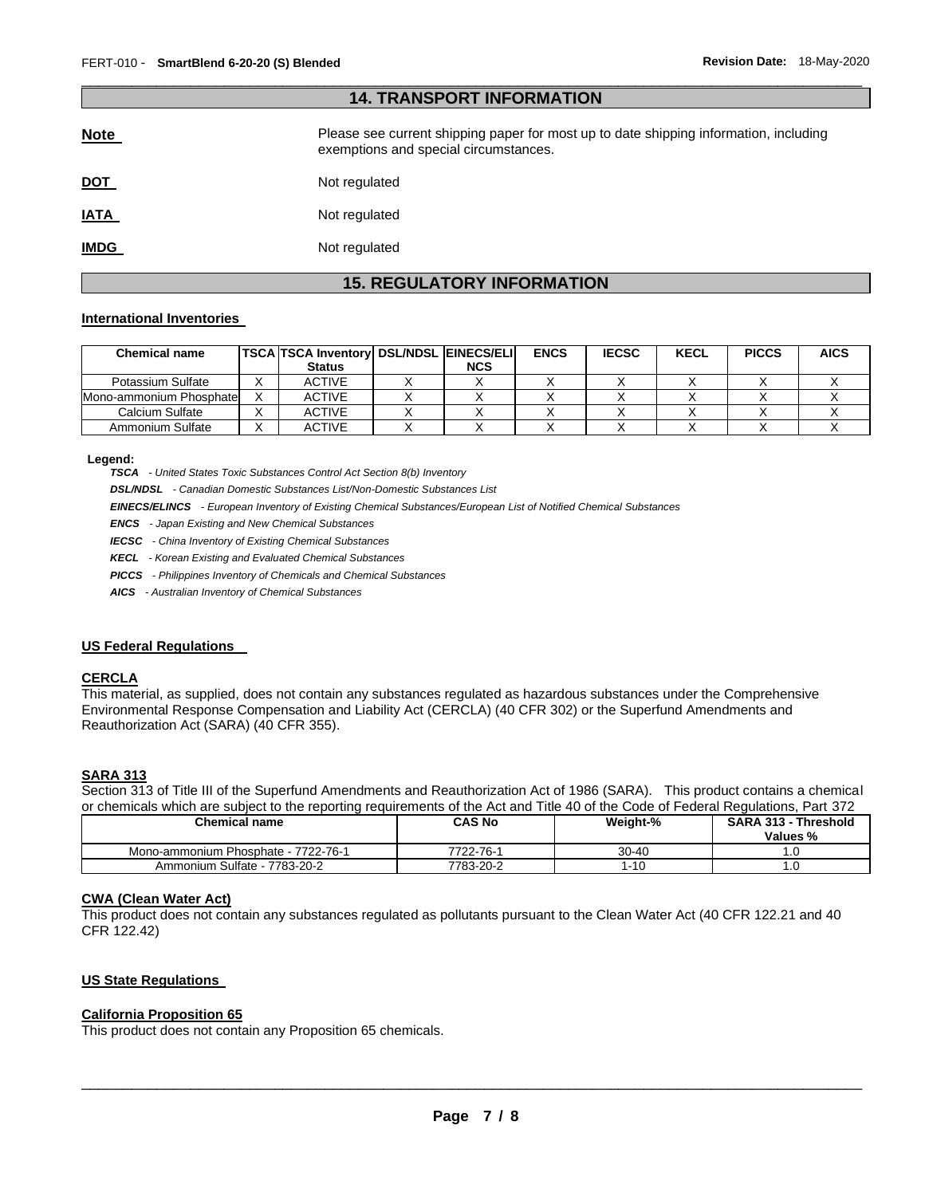| <b>14. TRANSPORT INFORMATION</b> |                                                                                                                                |  |  |  |
|----------------------------------|--------------------------------------------------------------------------------------------------------------------------------|--|--|--|
| <b>Note</b>                      | Please see current shipping paper for most up to date shipping information, including<br>exemptions and special circumstances. |  |  |  |
| <u>DOT</u>                       | Not regulated                                                                                                                  |  |  |  |
| <b>IATA</b>                      | Not regulated                                                                                                                  |  |  |  |
| <b>IMDG</b>                      | Not regulated                                                                                                                  |  |  |  |

\_\_\_\_\_\_\_\_\_\_\_\_\_\_\_\_\_\_\_\_\_\_\_\_\_\_\_\_\_\_\_\_\_\_\_\_\_\_\_\_\_\_\_\_\_\_\_\_\_\_\_\_\_\_\_\_\_\_\_\_\_\_\_\_\_\_\_\_\_\_\_\_\_\_\_\_\_\_\_\_\_\_\_\_\_\_\_\_\_\_\_\_\_

# **15. REGULATORY INFORMATION**

#### **International Inventories**

| <b>Chemical name</b>    | <b>TSCA TSCA Inventory DSL/NDSL EINECS/ELI</b> |            | <b>ENCS</b> | <b>IECSC</b> | <b>KECL</b> | <b>PICCS</b> | <b>AICS</b> |
|-------------------------|------------------------------------------------|------------|-------------|--------------|-------------|--------------|-------------|
|                         | <b>Status</b>                                  | <b>NCS</b> |             |              |             |              |             |
| Potassium Sulfate       | <b>ACTIVE</b>                                  |            |             |              |             |              |             |
| Mono-ammonium Phosphate | <b>ACTIVE</b>                                  |            |             |              |             |              |             |
| Calcium Sulfate         | <b>ACTIVE</b>                                  |            |             |              |             |              |             |
| Ammonium Sulfate        | <b>ACTIVE</b>                                  |            |             |              |             |              |             |

**Legend:** 

*TSCA - United States Toxic Substances Control Act Section 8(b) Inventory* 

*DSL/NDSL - Canadian Domestic Substances List/Non-Domestic Substances List* 

*EINECS/ELINCS - European Inventory of Existing Chemical Substances/European List of Notified Chemical Substances* 

*ENCS - Japan Existing and New Chemical Substances* 

*IECSC - China Inventory of Existing Chemical Substances* 

*KECL - Korean Existing and Evaluated Chemical Substances* 

*PICCS - Philippines Inventory of Chemicals and Chemical Substances* 

*AICS - Australian Inventory of Chemical Substances* 

#### **US Federal Regulations**

#### **CERCLA**

This material, as supplied, does not contain any substances regulated as hazardous substances under the Comprehensive Environmental Response Compensation and Liability Act (CERCLA) (40 CFR 302) or the Superfund Amendments and Reauthorization Act (SARA) (40 CFR 355).

#### **SARA 313**

Section 313 of Title III of the Superfund Amendments and Reauthorization Act of 1986 (SARA). This product contains a chemical or chemicals which are subject to the reporting requirements of the Act and Title 40 of the Code of Federal Regulations, Part 372

| <b>Chemical name</b>                | <b>CAS No</b> | Weight-% | <b>SARA 313 - Threshold</b><br>Values % |
|-------------------------------------|---------------|----------|-----------------------------------------|
| Mono-ammonium Phosphate - 7722-76-1 | 7722-76-1     | 30-40    | .u                                      |
| Ammonium Sulfate - 7783-20-2        | 7783-20-2     | -10      | . U                                     |

#### **CWA (Clean Water Act)**

This product does not contain any substances regulated as pollutants pursuant to the Clean Water Act (40 CFR 122.21 and 40 CFR 122.42)

#### **US State Regulations**

#### **California Proposition 65**

This product does not contain any Proposition 65 chemicals.